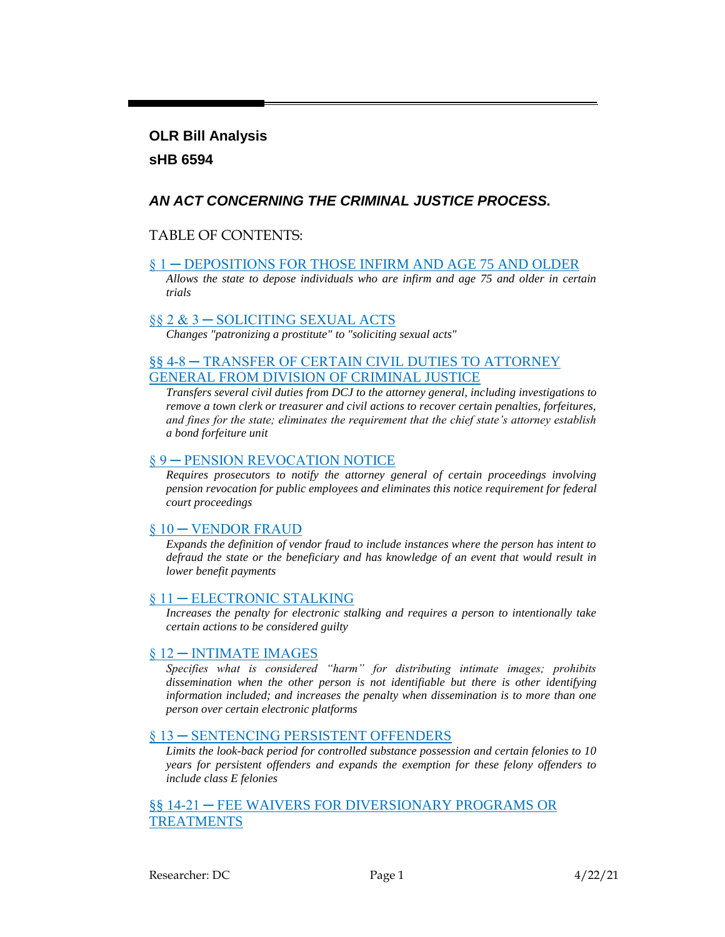## **OLR Bill Analysis sHB 6594**

## *AN ACT CONCERNING THE CRIMINAL JUSTICE PROCESS.*

#### TABLE OF CONTENTS:

#### [§ 1 ─ DEPOSITIONS FOR THOSE INFIRM AND AGE 75 AND OLDER](#page-1-0)

*[Allows the state to depose individuals who are infirm and age 75 and older in certain](#page-1-1)  [trials](#page-1-1)*

#### [§§ 2 & 3 ─ SOLICITING SEXUAL ACTS](#page-1-2)

*[Changes "patronizing a prostitute" to "soliciting sexual acts"](#page-1-3)*

#### [§§ 4-8 ─ TRANSFER OF CERTAIN CIVIL DUTIES TO ATTORNEY](#page-2-0)  [GENERAL FROM DIVISION OF CRIMINAL JUSTICE](#page-2-0)

*[Transfers several civil duties from DCJ to the attorney general, including investigations to](#page-2-1)  [remove a town clerk or treasurer and civil actions to recover certain penalties, forfeitures,](#page-2-1)  [and fines for the state; eliminates the requirement that the chief state's attorney establish](#page-2-1)  [a bond forfeiture unit](#page-2-1)*

#### [§ 9 ─ PENSION REVOCATION NOTICE](#page-2-2)

*[Requires prosecutors to notify the attorney general of certain proceedings involving](#page-3-0)  [pension revocation for public employees and eliminates this notice requirement for federal](#page-3-0)  [court proceedings](#page-3-0)*

#### [§ 10 ─ VENDOR FRAUD](#page-3-1)

*[Expands the definition of vendor fraud to include instances where the person has intent to](#page-3-2)  [defraud the state or the beneficiary and has knowledge of an event that would result in](#page-3-2)  [lower benefit payments](#page-3-2)*

#### [§ 11 ─ ELECTRONIC STALKING](#page-3-3)

*[Increases the penalty for electronic stalking and requires a person to intentionally take](#page-4-0)  [certain actions to be considered guilty](#page-4-0)*

#### [§ 12 ─ INTIMATE IMAGES](#page-4-1)

*[Specifies what is considered "harm" for distributing intimate images; prohibits](#page-4-2)  [dissemination when the other person is not identifiable but there is other identifying](#page-4-2)  [information included; and increases the penalty when dissemination is to more than one](#page-4-2)  [person over certain electronic platforms](#page-4-2)*

#### [§ 13 ─ SENTENCING PERSISTENT OFFENDERS](#page-6-0)

*[Limits the look-back period for controlled substance possession and certain felonies to 10](#page-6-1)  [years for persistent offenders and expands the exemption for these felony offenders to](#page-6-1)  [include class E felonies](#page-6-1)*

#### [§§ 14-21 ─ FEE WAIVERS FOR DIVERSIONARY PROGRAMS OR](#page-6-2)  [TREATMENTS](#page-6-2)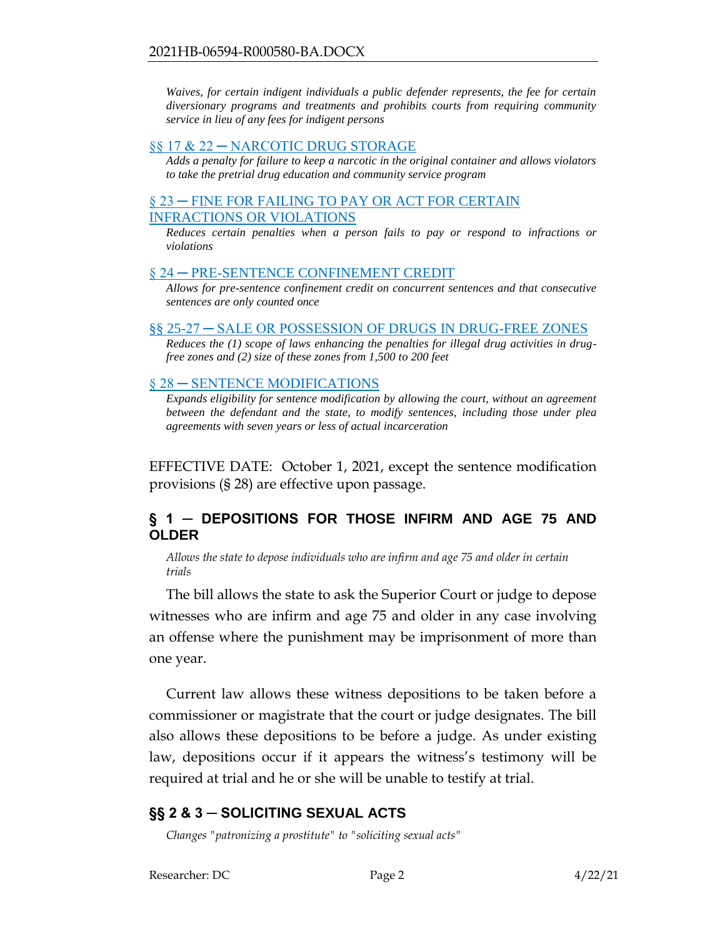*[Waives, for certain indigent individuals a public defender represents, the fee for certain](#page-6-3)  [diversionary programs and treatments and prohibits courts from requiring community](#page-6-3)  [service in lieu of any fees for indigent persons](#page-6-3)*

#### [§§ 17 & 22 ─ NARCOTIC DRUG STORAGE](#page-7-0)

*[Adds a penalty for failure to keep a narcotic in the original container and allows violators](#page-8-0)  [to take the pretrial drug education and community service program](#page-8-0)*

#### [§ 23 ─ FINE FOR FAILING TO PAY OR ACT FOR CERTAIN](#page-8-1)  [INFRACTIONS OR VIOLATIONS](#page-8-1)

*[Reduces certain penalties when a person fails to pay or respond to infractions or](#page-8-2)  [violations](#page-8-2)*

#### § 24 – PRE-SENTENCE CONFINEMENT CREDIT

*[Allows for pre-sentence confinement credit on concurrent sentences and that consecutive](#page-9-1)  [sentences are only counted once](#page-9-1)*

#### [§§ 25-27 ─ SALE OR POSSESSION OF DRUGS IN DRUG-FREE ZONES](#page-10-0)

*[Reduces the \(1\) scope of laws enhancing the penalties for illegal drug activities in drug](#page-10-1)[free zones and \(2\) size of these zones from 1,500 to 200 feet](#page-10-1)*

#### § 28 – SENTENCE MODIFICATIONS

*Expands eligibility for sentence modification by allowing the court, without an agreement [between the defendant and the state, to modify sentences, including those under plea](#page-11-1)  [agreements with seven years or less of actual incarceration](#page-11-1)*

EFFECTIVE DATE: October 1, 2021, except the sentence modification provisions (§ 28) are effective upon passage.

#### <span id="page-1-0"></span>**§ 1 ─ DEPOSITIONS FOR THOSE INFIRM AND AGE 75 AND OLDER**

<span id="page-1-1"></span>*Allows the state to depose individuals who are infirm and age 75 and older in certain trials* 

The bill allows the state to ask the Superior Court or judge to depose witnesses who are infirm and age 75 and older in any case involving an offense where the punishment may be imprisonment of more than one year.

Current law allows these witness depositions to be taken before a commissioner or magistrate that the court or judge designates. The bill also allows these depositions to be before a judge. As under existing law, depositions occur if it appears the witness's testimony will be required at trial and he or she will be unable to testify at trial.

## <span id="page-1-2"></span>**§§ 2 & 3 ─ SOLICITING SEXUAL ACTS**

<span id="page-1-3"></span>*Changes "patronizing a prostitute" to "soliciting sexual acts"*

Researcher: DC Page 2 4/22/21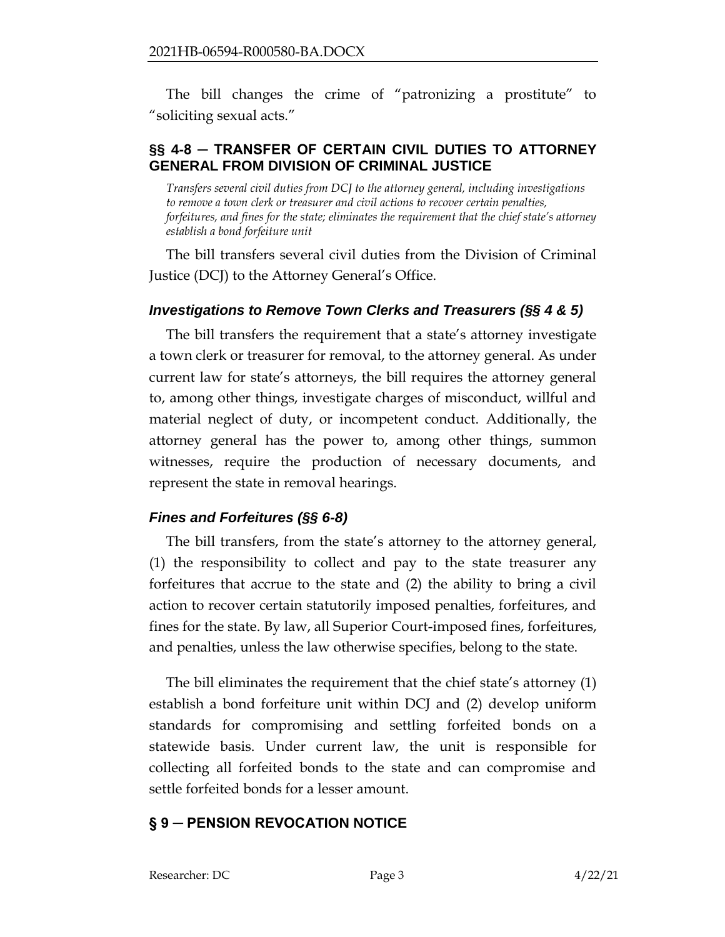The bill changes the crime of "patronizing a prostitute" to "soliciting sexual acts."

## <span id="page-2-0"></span>**§§ 4-8 ─ TRANSFER OF CERTAIN CIVIL DUTIES TO ATTORNEY GENERAL FROM DIVISION OF CRIMINAL JUSTICE**

<span id="page-2-1"></span>*Transfers several civil duties from DCJ to the attorney general, including investigations to remove a town clerk or treasurer and civil actions to recover certain penalties, forfeitures, and fines for the state; eliminates the requirement that the chief state's attorney establish a bond forfeiture unit*

The bill transfers several civil duties from the Division of Criminal Justice (DCJ) to the Attorney General's Office.

#### *Investigations to Remove Town Clerks and Treasurers (§§ 4 & 5)*

The bill transfers the requirement that a state's attorney investigate a town clerk or treasurer for removal, to the attorney general. As under current law for state's attorneys, the bill requires the attorney general to, among other things, investigate charges of misconduct, willful and material neglect of duty, or incompetent conduct. Additionally, the attorney general has the power to, among other things, summon witnesses, require the production of necessary documents, and represent the state in removal hearings.

## *Fines and Forfeitures (§§ 6-8)*

The bill transfers, from the state's attorney to the attorney general, (1) the responsibility to collect and pay to the state treasurer any forfeitures that accrue to the state and (2) the ability to bring a civil action to recover certain statutorily imposed penalties, forfeitures, and fines for the state. By law, all Superior Court-imposed fines, forfeitures, and penalties, unless the law otherwise specifies, belong to the state.

The bill eliminates the requirement that the chief state's attorney (1) establish a bond forfeiture unit within DCJ and (2) develop uniform standards for compromising and settling forfeited bonds on a statewide basis. Under current law, the unit is responsible for collecting all forfeited bonds to the state and can compromise and settle forfeited bonds for a lesser amount.

## <span id="page-2-2"></span>**§ 9 ─ PENSION REVOCATION NOTICE**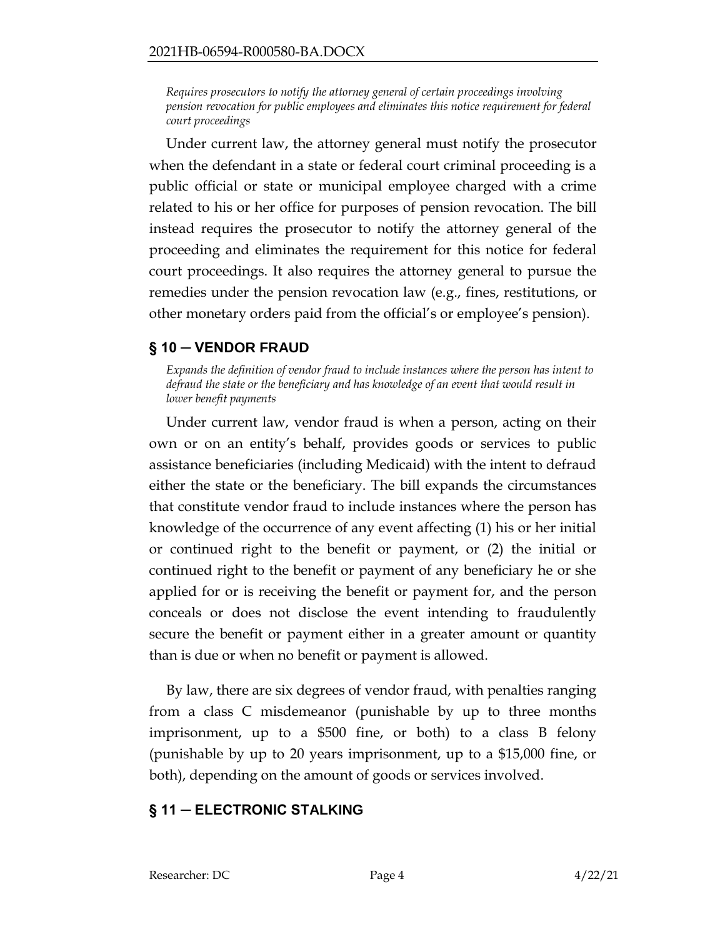<span id="page-3-0"></span>*Requires prosecutors to notify the attorney general of certain proceedings involving pension revocation for public employees and eliminates this notice requirement for federal court proceedings*

Under current law, the attorney general must notify the prosecutor when the defendant in a state or federal court criminal proceeding is a public official or state or municipal employee charged with a crime related to his or her office for purposes of pension revocation. The bill instead requires the prosecutor to notify the attorney general of the proceeding and eliminates the requirement for this notice for federal court proceedings. It also requires the attorney general to pursue the remedies under the pension revocation law (e.g., fines, restitutions, or other monetary orders paid from the official's or employee's pension).

## <span id="page-3-1"></span>**§ 10 ─ VENDOR FRAUD**

<span id="page-3-2"></span>*Expands the definition of vendor fraud to include instances where the person has intent to defraud the state or the beneficiary and has knowledge of an event that would result in lower benefit payments* 

Under current law, vendor fraud is when a person, acting on their own or on an entity's behalf, provides goods or services to public assistance beneficiaries (including Medicaid) with the intent to defraud either the state or the beneficiary. The bill expands the circumstances that constitute vendor fraud to include instances where the person has knowledge of the occurrence of any event affecting (1) his or her initial or continued right to the benefit or payment, or (2) the initial or continued right to the benefit or payment of any beneficiary he or she applied for or is receiving the benefit or payment for, and the person conceals or does not disclose the event intending to fraudulently secure the benefit or payment either in a greater amount or quantity than is due or when no benefit or payment is allowed.

By law, there are six degrees of vendor fraud, with penalties ranging from a class C misdemeanor (punishable by up to three months imprisonment, up to a \$500 fine, or both) to a class B felony (punishable by up to 20 years imprisonment, up to a \$15,000 fine, or both), depending on the amount of goods or services involved.

## <span id="page-3-3"></span>**§ 11 ─ ELECTRONIC STALKING**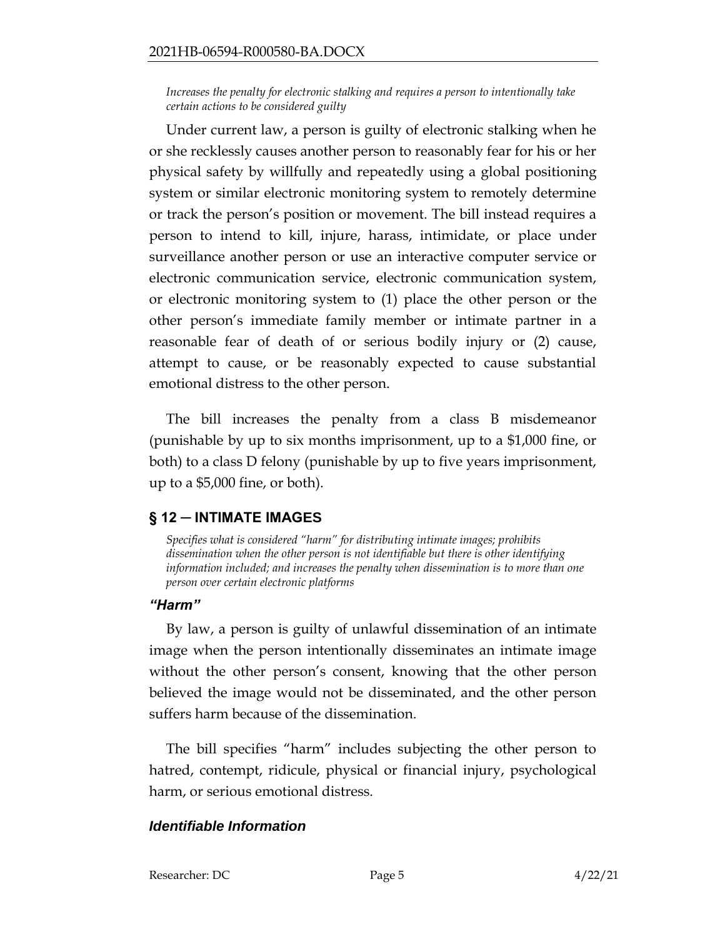<span id="page-4-0"></span>*Increases the penalty for electronic stalking and requires a person to intentionally take certain actions to be considered guilty*

Under current law, a person is guilty of electronic stalking when he or she recklessly causes another person to reasonably fear for his or her physical safety by willfully and repeatedly using a global positioning system or similar electronic monitoring system to remotely determine or track the person's position or movement. The bill instead requires a person to intend to kill, injure, harass, intimidate, or place under surveillance another person or use an interactive computer service or electronic communication service, electronic communication system, or electronic monitoring system to (1) place the other person or the other person's immediate family member or intimate partner in a reasonable fear of death of or serious bodily injury or (2) cause, attempt to cause, or be reasonably expected to cause substantial emotional distress to the other person.

The bill increases the penalty from a class B misdemeanor (punishable by up to six months imprisonment, up to a \$1,000 fine, or both) to a class D felony (punishable by up to five years imprisonment, up to a \$5,000 fine, or both).

## <span id="page-4-1"></span>**§ 12 ─ INTIMATE IMAGES**

<span id="page-4-2"></span>*Specifies what is considered "harm" for distributing intimate images; prohibits dissemination when the other person is not identifiable but there is other identifying information included; and increases the penalty when dissemination is to more than one person over certain electronic platforms*

## *"Harm"*

By law, a person is guilty of unlawful dissemination of an intimate image when the person intentionally disseminates an intimate image without the other person's consent, knowing that the other person believed the image would not be disseminated, and the other person suffers harm because of the dissemination.

The bill specifies "harm" includes subjecting the other person to hatred, contempt, ridicule, physical or financial injury, psychological harm, or serious emotional distress.

## *Identifiable Information*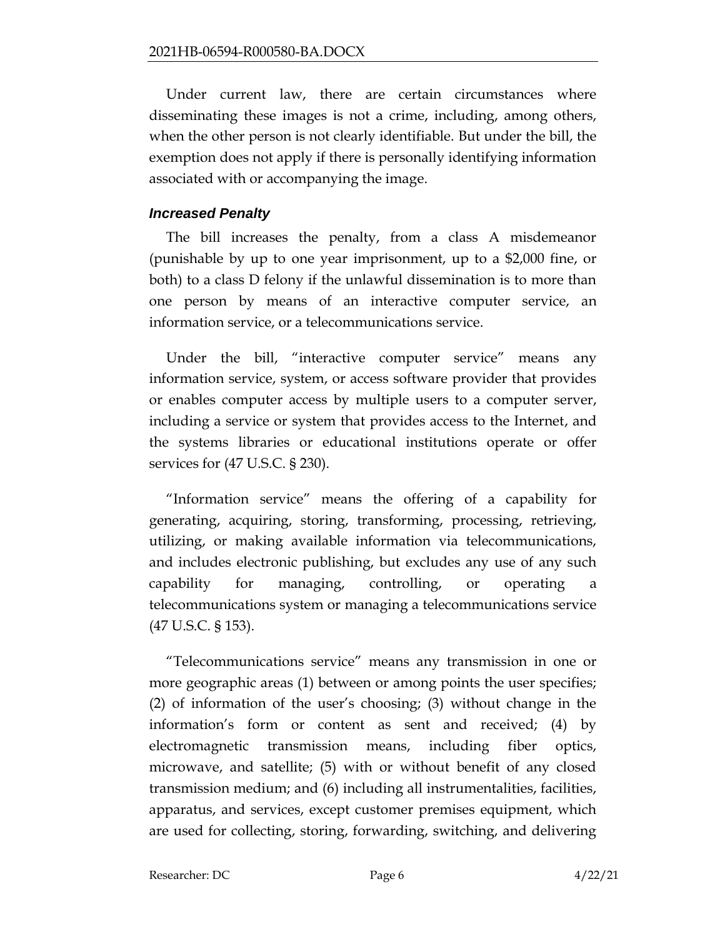Under current law, there are certain circumstances where disseminating these images is not a crime, including, among others, when the other person is not clearly identifiable. But under the bill, the exemption does not apply if there is personally identifying information associated with or accompanying the image.

#### *Increased Penalty*

The bill increases the penalty, from a class A misdemeanor (punishable by up to one year imprisonment, up to a \$2,000 fine, or both) to a class D felony if the unlawful dissemination is to more than one person by means of an interactive computer service, an information service, or a telecommunications service.

Under the bill, "interactive computer service" means any information service, system, or access software provider that provides or enables computer access by multiple users to a computer server, including a service or system that provides access to the Internet, and the systems libraries or educational institutions operate or offer services for (47 U.S.C. § 230).

"Information service" means the offering of a capability for generating, acquiring, storing, transforming, processing, retrieving, utilizing, or making available information via telecommunications, and includes electronic publishing, but excludes any use of any such capability for managing, controlling, or operating a telecommunications system or managing a telecommunications service (47 U.S.C. § 153).

"Telecommunications service" means any transmission in one or more geographic areas (1) between or among points the user specifies; (2) of information of the user's choosing; (3) without change in the information's form or content as sent and received; (4) by electromagnetic transmission means, including fiber optics, microwave, and satellite; (5) with or without benefit of any closed transmission medium; and (6) including all instrumentalities, facilities, apparatus, and services, except customer premises equipment, which are used for collecting, storing, forwarding, switching, and delivering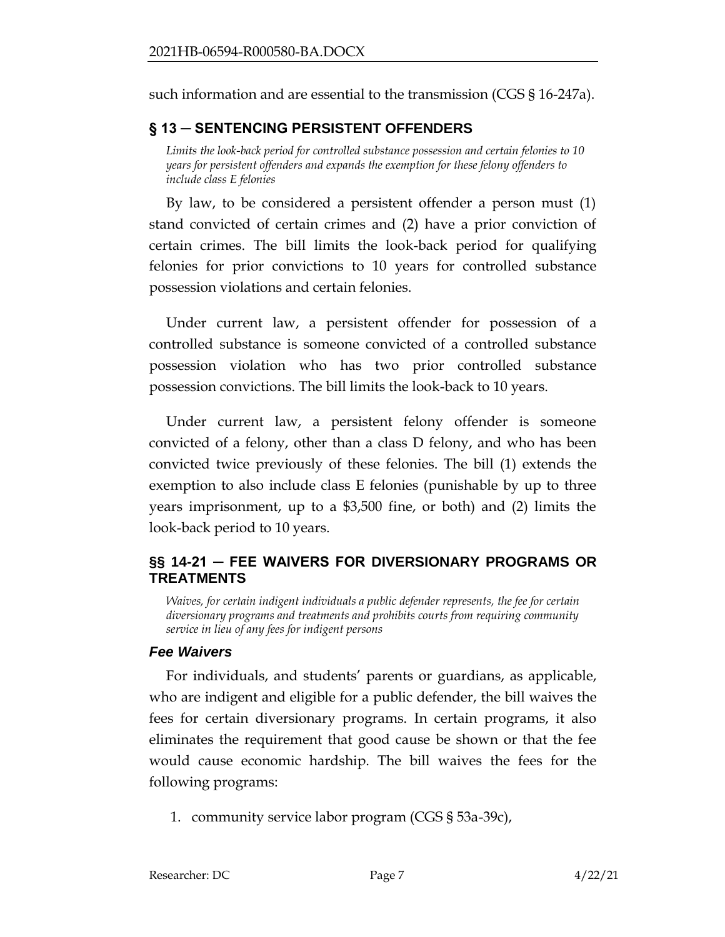such information and are essential to the transmission (CGS § 16-247a).

## <span id="page-6-0"></span>**§ 13 ─ SENTENCING PERSISTENT OFFENDERS**

<span id="page-6-1"></span>*Limits the look-back period for controlled substance possession and certain felonies to 10 years for persistent offenders and expands the exemption for these felony offenders to include class E felonies*

By law, to be considered a persistent offender a person must (1) stand convicted of certain crimes and (2) have a prior conviction of certain crimes. The bill limits the look-back period for qualifying felonies for prior convictions to 10 years for controlled substance possession violations and certain felonies.

Under current law, a persistent offender for possession of a controlled substance is someone convicted of a controlled substance possession violation who has two prior controlled substance possession convictions. The bill limits the look-back to 10 years.

Under current law, a persistent felony offender is someone convicted of a felony, other than a class D felony, and who has been convicted twice previously of these felonies. The bill (1) extends the exemption to also include class E felonies (punishable by up to three years imprisonment, up to a \$3,500 fine, or both) and (2) limits the look-back period to 10 years.

## <span id="page-6-2"></span>**§§ 14-21 ─ FEE WAIVERS FOR DIVERSIONARY PROGRAMS OR TREATMENTS**

<span id="page-6-3"></span>*Waives, for certain indigent individuals a public defender represents, the fee for certain diversionary programs and treatments and prohibits courts from requiring community service in lieu of any fees for indigent persons*

#### *Fee Waivers*

For individuals, and students' parents or guardians, as applicable, who are indigent and eligible for a public defender, the bill waives the fees for certain diversionary programs. In certain programs, it also eliminates the requirement that good cause be shown or that the fee would cause economic hardship. The bill waives the fees for the following programs:

1. community service labor program (CGS § 53a-39c),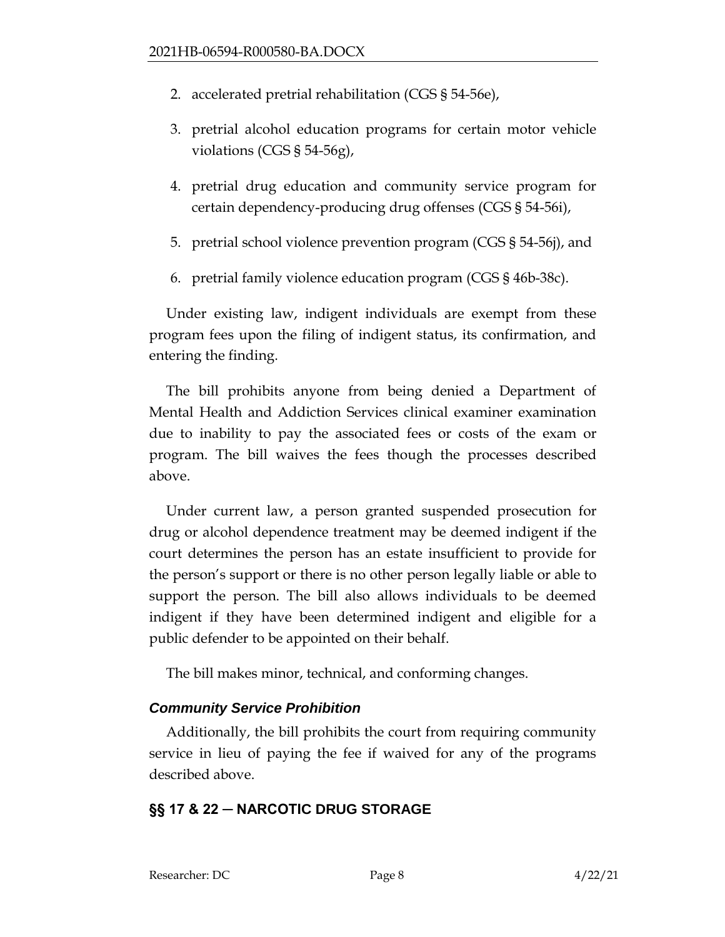- 2. accelerated pretrial rehabilitation (CGS § 54-56e),
- 3. pretrial alcohol education programs for certain motor vehicle violations (CGS § 54-56g),
- 4. pretrial drug education and community service program for certain dependency-producing drug offenses (CGS § 54-56i),
- 5. pretrial school violence prevention program (CGS § 54-56j), and
- 6. pretrial family violence education program (CGS § 46b-38c).

Under existing law, indigent individuals are exempt from these program fees upon the filing of indigent status, its confirmation, and entering the finding.

The bill prohibits anyone from being denied a Department of Mental Health and Addiction Services clinical examiner examination due to inability to pay the associated fees or costs of the exam or program. The bill waives the fees though the processes described above.

Under current law, a person granted suspended prosecution for drug or alcohol dependence treatment may be deemed indigent if the court determines the person has an estate insufficient to provide for the person's support or there is no other person legally liable or able to support the person. The bill also allows individuals to be deemed indigent if they have been determined indigent and eligible for a public defender to be appointed on their behalf.

The bill makes minor, technical, and conforming changes.

# *Community Service Prohibition*

Additionally, the bill prohibits the court from requiring community service in lieu of paying the fee if waived for any of the programs described above.

# <span id="page-7-0"></span>**§§ 17 & 22 ─ NARCOTIC DRUG STORAGE**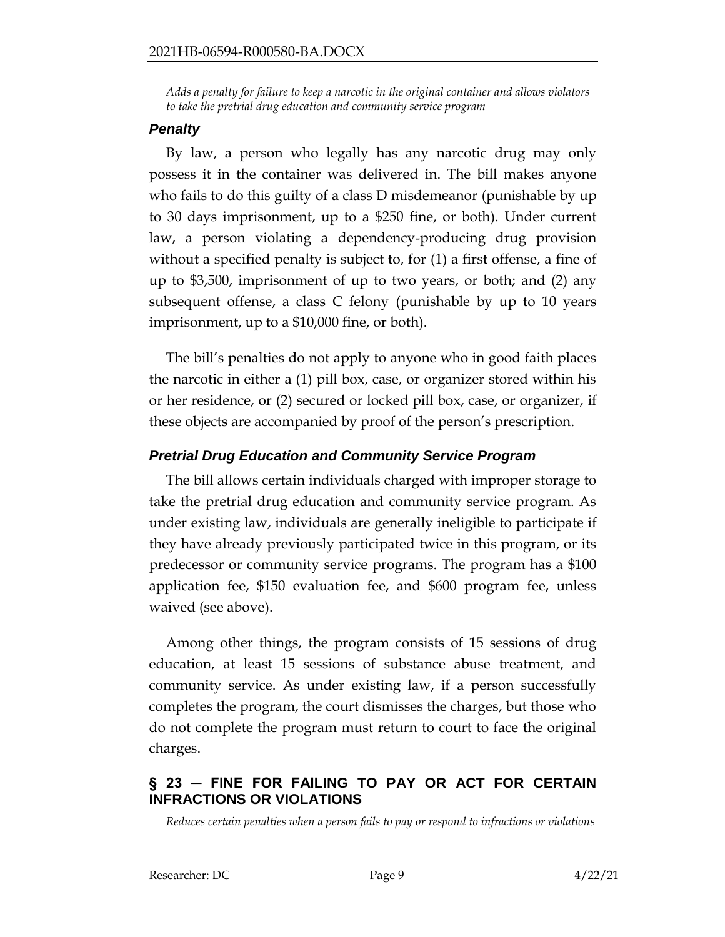<span id="page-8-0"></span>*Adds a penalty for failure to keep a narcotic in the original container and allows violators to take the pretrial drug education and community service program*

#### *Penalty*

By law, a person who legally has any narcotic drug may only possess it in the container was delivered in. The bill makes anyone who fails to do this guilty of a class D misdemeanor (punishable by up to 30 days imprisonment, up to a \$250 fine, or both). Under current law, a person violating a dependency-producing drug provision without a specified penalty is subject to, for (1) a first offense, a fine of up to \$3,500, imprisonment of up to two years, or both; and (2) any subsequent offense, a class C felony (punishable by up to 10 years imprisonment, up to a \$10,000 fine, or both).

The bill's penalties do not apply to anyone who in good faith places the narcotic in either a (1) pill box, case, or organizer stored within his or her residence, or (2) secured or locked pill box, case, or organizer, if these objects are accompanied by proof of the person's prescription.

# *Pretrial Drug Education and Community Service Program*

The bill allows certain individuals charged with improper storage to take the pretrial drug education and community service program. As under existing law, individuals are generally ineligible to participate if they have already previously participated twice in this program, or its predecessor or community service programs. The program has a \$100 application fee, \$150 evaluation fee, and \$600 program fee, unless waived (see above).

Among other things, the program consists of 15 sessions of drug education, at least 15 sessions of substance abuse treatment, and community service. As under existing law, if a person successfully completes the program, the court dismisses the charges, but those who do not complete the program must return to court to face the original charges.

# <span id="page-8-1"></span>**§ 23 ─ FINE FOR FAILING TO PAY OR ACT FOR CERTAIN INFRACTIONS OR VIOLATIONS**

<span id="page-8-2"></span>*Reduces certain penalties when a person fails to pay or respond to infractions or violations*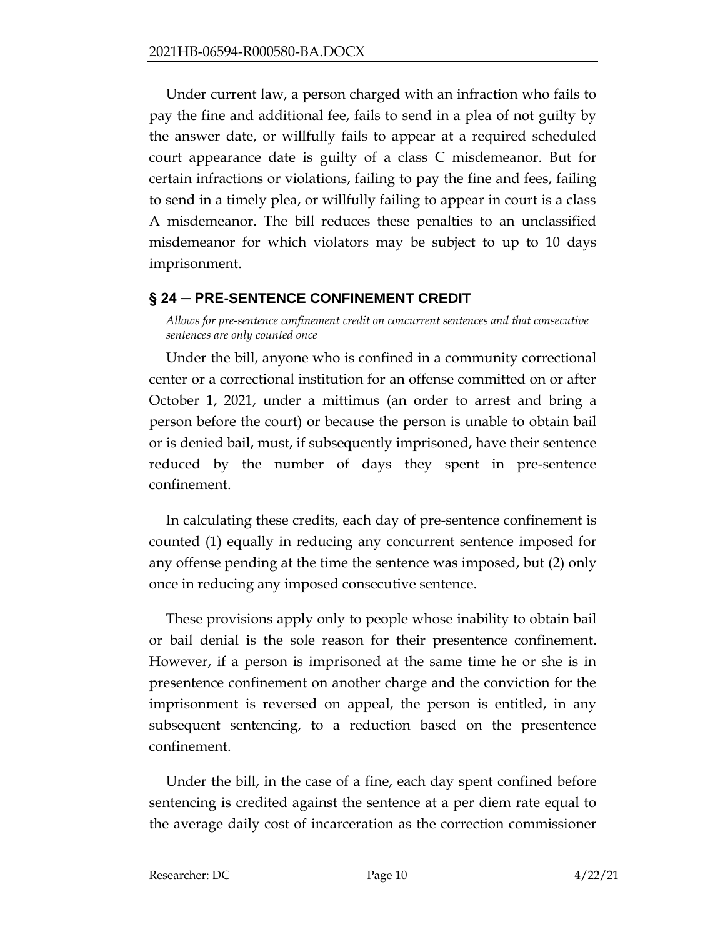Under current law, a person charged with an infraction who fails to pay the fine and additional fee, fails to send in a plea of not guilty by the answer date, or willfully fails to appear at a required scheduled court appearance date is guilty of a class C misdemeanor. But for certain infractions or violations, failing to pay the fine and fees, failing to send in a timely plea, or willfully failing to appear in court is a class A misdemeanor. The bill reduces these penalties to an unclassified misdemeanor for which violators may be subject to up to 10 days imprisonment.

## <span id="page-9-0"></span>**§ 24 ─ PRE-SENTENCE CONFINEMENT CREDIT**

<span id="page-9-1"></span>*Allows for pre-sentence confinement credit on concurrent sentences and that consecutive sentences are only counted once* 

Under the bill, anyone who is confined in a community correctional center or a correctional institution for an offense committed on or after October 1, 2021, under a mittimus (an order to arrest and bring a person before the court) or because the person is unable to obtain bail or is denied bail, must, if subsequently imprisoned, have their sentence reduced by the number of days they spent in pre-sentence confinement.

In calculating these credits, each day of pre-sentence confinement is counted (1) equally in reducing any concurrent sentence imposed for any offense pending at the time the sentence was imposed, but (2) only once in reducing any imposed consecutive sentence.

These provisions apply only to people whose inability to obtain bail or bail denial is the sole reason for their presentence confinement. However, if a person is imprisoned at the same time he or she is in presentence confinement on another charge and the conviction for the imprisonment is reversed on appeal, the person is entitled, in any subsequent sentencing, to a reduction based on the presentence confinement.

Under the bill, in the case of a fine, each day spent confined before sentencing is credited against the sentence at a per diem rate equal to the average daily cost of incarceration as the correction commissioner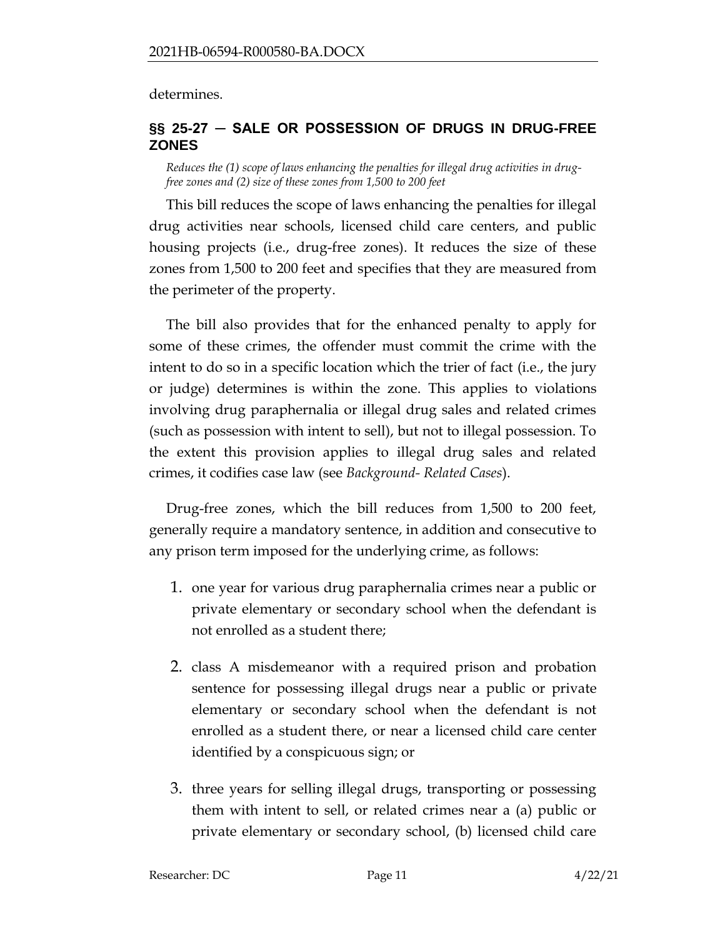determines.

## <span id="page-10-0"></span>**§§ 25-27 ─ SALE OR POSSESSION OF DRUGS IN DRUG-FREE ZONES**

<span id="page-10-1"></span>*Reduces the (1) scope of laws enhancing the penalties for illegal drug activities in drugfree zones and (2) size of these zones from 1,500 to 200 feet* 

This bill reduces the scope of laws enhancing the penalties for illegal drug activities near schools, licensed child care centers, and public housing projects (i.e., drug-free zones). It reduces the size of these zones from 1,500 to 200 feet and specifies that they are measured from the perimeter of the property.

The bill also provides that for the enhanced penalty to apply for some of these crimes, the offender must commit the crime with the intent to do so in a specific location which the trier of fact (i.e., the jury or judge) determines is within the zone. This applies to violations involving drug paraphernalia or illegal drug sales and related crimes (such as possession with intent to sell), but not to illegal possession. To the extent this provision applies to illegal drug sales and related crimes, it codifies case law (see *Background- Related Cases*).

Drug-free zones, which the bill reduces from 1,500 to 200 feet, generally require a mandatory sentence, in addition and consecutive to any prison term imposed for the underlying crime, as follows:

- 1. one year for various drug paraphernalia crimes near a public or private elementary or secondary school when the defendant is not enrolled as a student there;
- 2. class A misdemeanor with a required prison and probation sentence for possessing illegal drugs near a public or private elementary or secondary school when the defendant is not enrolled as a student there, or near a licensed child care center identified by a conspicuous sign; or
- 3. three years for selling illegal drugs, transporting or possessing them with intent to sell, or related crimes near a (a) public or private elementary or secondary school, (b) licensed child care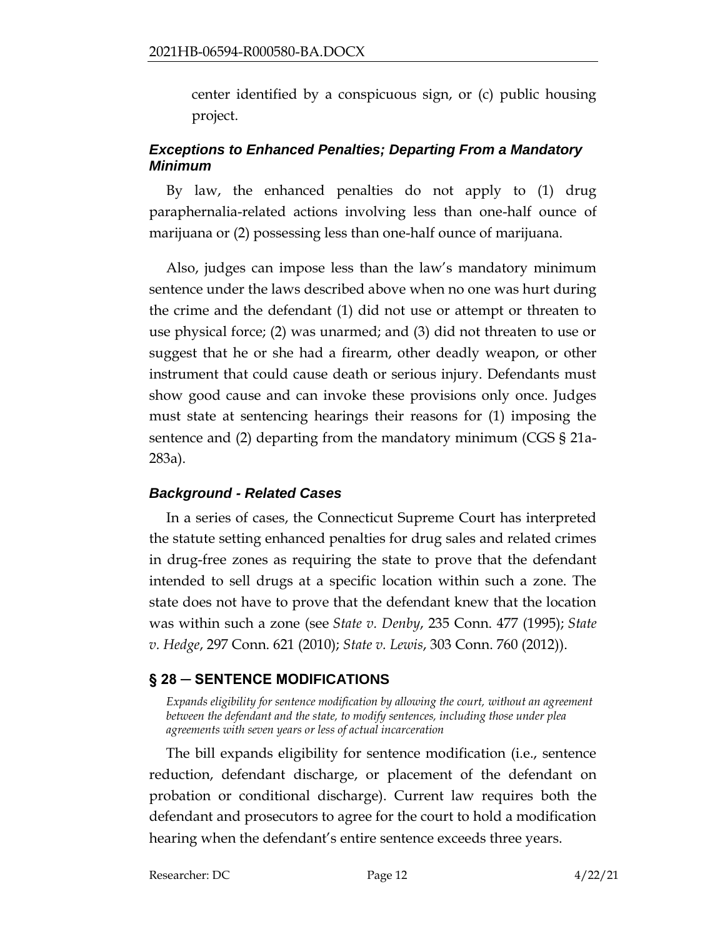center identified by a conspicuous sign, or (c) public housing project.

# *Exceptions to Enhanced Penalties; Departing From a Mandatory Minimum*

By law, the enhanced penalties do not apply to (1) drug paraphernalia-related actions involving less than one-half ounce of marijuana or (2) possessing less than one-half ounce of marijuana.

Also, judges can impose less than the law's mandatory minimum sentence under the laws described above when no one was hurt during the crime and the defendant (1) did not use or attempt or threaten to use physical force; (2) was unarmed; and (3) did not threaten to use or suggest that he or she had a firearm, other deadly weapon, or other instrument that could cause death or serious injury. Defendants must show good cause and can invoke these provisions only once. Judges must state at sentencing hearings their reasons for (1) imposing the sentence and (2) departing from the mandatory minimum (CGS § 21a-283a).

## *Background - Related Cases*

In a series of cases, the Connecticut Supreme Court has interpreted the statute setting enhanced penalties for drug sales and related crimes in drug-free zones as requiring the state to prove that the defendant intended to sell drugs at a specific location within such a zone. The state does not have to prove that the defendant knew that the location was within such a zone (see *State v. Denby*, 235 Conn. 477 (1995); *State v. Hedge*, 297 Conn. 621 (2010); *State v. Lewis*, 303 Conn. 760 (2012)).

## <span id="page-11-0"></span>**§ 28 ─ SENTENCE MODIFICATIONS**

<span id="page-11-1"></span>*Expands eligibility for sentence modification by allowing the court, without an agreement between the defendant and the state, to modify sentences, including those under plea agreements with seven years or less of actual incarceration*

The bill expands eligibility for sentence modification (i.e., sentence reduction, defendant discharge, or placement of the defendant on probation or conditional discharge). Current law requires both the defendant and prosecutors to agree for the court to hold a modification hearing when the defendant's entire sentence exceeds three years.

Researcher: DC Page 12 4/22/21